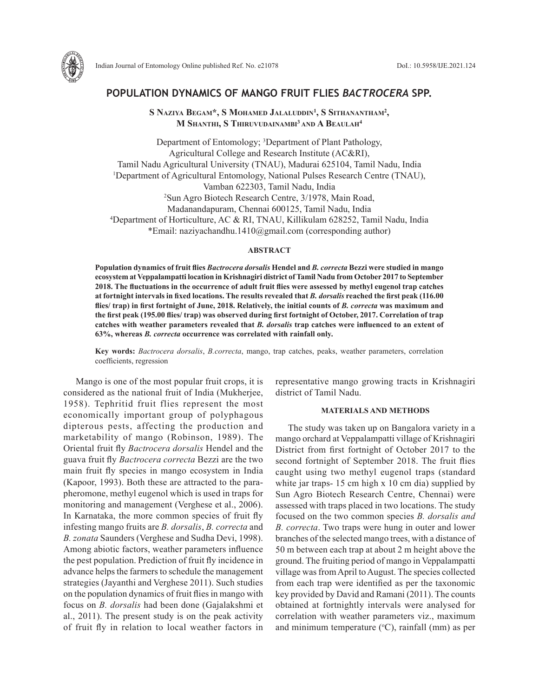

# **POPULATION DYNAMICS OF MANGO FRUIT FLIES** *BACTROCERA* **SPP.**

**S Naziya Begam\*, S Mohamed Jalaluddin1 , S Sithanantham2 , M Shanthi, S Thiruvudainambi 3 and A Beaulah4**

Department of Entomology; <sup>3</sup>Department of Plant Pathology, Agricultural College and Research Institute (AC&RI), Tamil Nadu Agricultural University (TNAU), Madurai 625104, Tamil Nadu, India 1 Department of Agricultural Entomology, National Pulses Research Centre (TNAU), Vamban 622303, Tamil Nadu, India 2 Sun Agro Biotech Research Centre, 3/1978, Main Road, Madanandapuram, Chennai 600125, Tamil Nadu, India 4 Department of Horticulture, AC & RI, TNAU, Killikulam 628252, Tamil Nadu, India \*Email: naziyachandhu.1410@gmail.com (corresponding author)

#### **ABSTRACT**

**Population dynamics of fruit flies** *Bactrocera dorsalis* **Hendel and** *B. correcta* **Bezzi were studied in mango ecosystem at Veppalampatti location in Krishnagiri district of Tamil Nadu from October 2017 to September 2018. The fluctuations in the occurrence of adult fruit flies were assessed by methyl eugenol trap catches at fortnight intervals in fixed locations. The results revealed that** *B. dorsalis* **reached the first peak (116.00 flies/ trap) in first fortnight of June, 2018. Relatively, the initial counts of** *B. correcta* **was maximum and the first peak (195.00 flies/ trap) was observed during first fortnight of October, 2017. Correlation of trap catches with weather parameters revealed that** *B. dorsalis* **trap catches were influenced to an extent of 63%, whereas** *B. correcta* **occurrence was correlated with rainfall only.** 

**Key words:** *Bactrocera dorsalis*, *B.correcta*, mango, trap catches, peaks, weather parameters, correlation coefficients, regression

Mango is one of the most popular fruit crops, it is considered as the national fruit of India (Mukherjee, 1958). Tephritid fruit flies represent the most economically important group of polyphagous dipterous pests, affecting the production and marketability of mango (Robinson, 1989). The Oriental fruit fly *Bactrocera dorsalis* Hendel and the guava fruit fly *Bactrocera correcta* Bezzi are the two main fruit fly species in mango ecosystem in India (Kapoor, 1993). Both these are attracted to the parapheromone, methyl eugenol which is used in traps for monitoring and management (Verghese et al., 2006). In Karnataka, the more common species of fruit fly infesting mango fruits are *B. dorsalis*, *B. correcta* and *B. zonata* Saunders (Verghese and Sudha Devi, 1998). Among abiotic factors, weather parameters influence the pest population. Prediction of fruit fly incidence in advance helps the farmers to schedule the management strategies (Jayanthi and Verghese 2011). Such studies on the population dynamics of fruit flies in mango with focus on *B. dorsalis* had been done (Gajalakshmi et al., 2011). The present study is on the peak activity of fruit fly in relation to local weather factors in representative mango growing tracts in Krishnagiri district of Tamil Nadu.

## **MATERIALS AND METHODS**

The study was taken up on Bangalora variety in a mango orchard at Veppalampatti village of Krishnagiri District from first fortnight of October 2017 to the second fortnight of September 2018. The fruit flies caught using two methyl eugenol traps (standard white jar traps- 15 cm high x 10 cm dia) supplied by Sun Agro Biotech Research Centre, Chennai) were assessed with traps placed in two locations. The study focused on the two common species *B. dorsalis and B. correcta*. Two traps were hung in outer and lower branches of the selected mango trees, with a distance of 50 m between each trap at about 2 m height above the ground. The fruiting period of mango in Veppalampatti village was from April to August. The species collected from each trap were identified as per the taxonomic key provided by David and Ramani (2011). The counts obtained at fortnightly intervals were analysed for correlation with weather parameters viz., maximum and minimum temperature  $({}^{\circ}C)$ , rainfall (mm) as per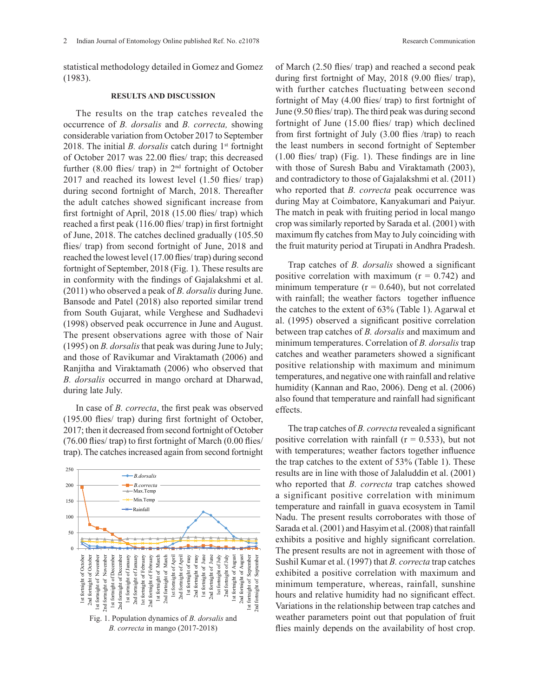statistical methodology detailed in Gomez and Gomez (1983).

#### **RESULTS AND DISCUSSION**

The results on the trap catches revealed the occurrence of *B. dorsalis* and *B. correcta,* showing considerable variation from October 2017 to September 2018. The initial *B. dorsalis* catch during 1<sup>st</sup> fortnight of October 2017 was 22.00 flies/ trap; this decreased further  $(8.00 \text{ flies/ trap})$  in  $2^{\text{nd}}$  fortnight of October 2017 and reached its lowest level (1.50 flies/ trap) during second fortnight of March, 2018. Thereafter the adult catches showed significant increase from first fortnight of April, 2018 (15.00 flies/ trap) which reached a first peak (116.00 flies/ trap) in first fortnight of June, 2018. The catches declined gradually (105.50 flies/ trap) from second fortnight of June, 2018 and reached the lowest level (17.00 flies/ trap) during second fortnight of September, 2018 (Fig. 1). These results are in conformity with the findings of Gajalakshmi et al. (2011) who observed a peak of *B. dorsalis* during June. Bansode and Patel (2018) also reported similar trend from South Gujarat, while Verghese and Sudhadevi (1998) observed peak occurrence in June and August. The present observations agree with those of Nair (1995) on *B. dorsalis* that peak was during June to July; and those of Ravikumar and Viraktamath (2006) and Ranjitha and Viraktamath (2006) who observed that *B. dorsalis* occurred in mango orchard at Dharwad, during late July.

In case of *B. correcta*, the first peak was observed (195.00 flies/ trap) during first fortnight of October, 2017; then it decreased from second fortnight of October (76.00 flies/ trap) to first fortnight of March (0.00 flies/ trap). The catches increased again from second fortnight

250 *B.dorsalis B.dorsalis B.dorsalis B.correcta B.correcta B.correcta* 200 Max.Temp Max.Temp Max.Temp Min.Temp Min.Temp 150 man a ma<sub>r</sub><br>Rainfall  $\frac{10}{5}$ 1<br>1<br>1<br>1  $\frac{1}{2}$  $\frac{1}{2}$  $\frac{1}{2}$  $\frac{1}{\sqrt{2}}$  $\frac{1}{2}$  for  $\frac{1}{2}$  for  $\frac{1}{2}$  for  $\frac{1}{2}$  $\frac{1}{2}$  $\begin{bmatrix} 0 \\ 0 \end{bmatrix}$ 2nd fortnight of July 1<br>1st fortnight<br>1st fortnight<br>1st fortnight<br>1st fortnight<br>1st fortnight<br>1st fortnight<br>1st fortnight<br>1st fortnight<br>1st fortnight<br>1st fortnight<br>1st fortnight  $2$  and  $2$  august of  $2$  $\frac{1}{2}$  for  $\frac{1}{2}$  for  $\frac{1}{2}$  $\frac{1}{2}$  and  $\frac{1}{2}$  and  $\frac{1}{2}$  and  $\frac{1}{2}$ 00<br>50<br>0  $\overline{\phantom{a}}$ 1<br>1st fortnight of August<br>1st fortnight of August  $\frac{1}{2}$  for  $\frac{1}{2}$  $1$ st fortnight of September of September of September of September of September of September of September of September of September of September of September of September of September of September of September of Septemb  $\frac{1}{2}$  and  $\frac{1}{2}$ 100 50 0 1st fortnight of October 2nd fortnight of October 1st fortnight of November 2nd fortnight of November 1st fortnight of December 2nd fortnight of December 1st fortnight of January 2nd fortnight of January 1st fortnight of February 2nd fortnight of February 1st fortnight of March 2nd fortnight of March 1st fortnight of April 2nd fortnight of April 1st fortnight of may 2nd fortnight of may 1st fortnight of June 2nd fortnight of June 1st fortnight of July 2nd fortnight of July 1st fortnight of August 2nd fortnight of August 1st fortnight of September 2nd fortnight of September fortnight of October 2nd fortnight of November 1st fortnight of December 1st fortnight of January<br>2nd fortnight of January 2nd fortnight of March 1st fortnight of April 1st fortnight of October 1st fortnight of November 2nd fortnight of December 1st fortnight of March 2nd fortnight of April Ist fortnight of may 2nd fortnight of may 1st fortnight of June and fortnight of June Ist fortnight of July 2nd fortnight of July Ist fortnight of August 2nd fortnight of August 1st fortnight of September 2nd fortnight of September of Februar 2nd fortnight of Februar Ist fortnight  $2nd$  f Fig. 1. Population dynamics of *B. dorsalis* and *B. correcta* in mango (2017-2018)

of March (2.50 flies/ trap) and reached a second peak during first fortnight of May, 2018 (9.00 flies/ trap), with further catches fluctuating between second fortnight of May (4.00 flies/ trap) to first fortnight of June (9.50 flies/ trap). The third peak was during second fortnight of June (15.00 flies/ trap) which declined from first fortnight of July (3.00 flies /trap) to reach the least numbers in second fortnight of September (1.00 flies/ trap) (Fig. 1). These findings are in line with those of Suresh Babu and Viraktamath (2003), and contradictory to those of Gajalakshmi et al. (2011) who reported that *B. correcta* peak occurrence was during May at Coimbatore, Kanyakumari and Paiyur. The match in peak with fruiting period in local mango crop was similarly reported by Sarada et al. (2001) with maximum fly catches from May to July coinciding with the fruit maturity period at Tirupati in Andhra Pradesh.

Trap catches of *B. dorsalis* showed a significant positive correlation with maximum  $(r = 0.742)$  and minimum temperature  $(r = 0.640)$ , but not correlated with rainfall; the weather factors together influence the catches to the extent of 63% (Table 1). Agarwal et al. (1995) observed a significant positive correlation between trap catches of *B. dorsalis* and maximum and minimum temperatures. Correlation of *B. dorsalis* trap catches and weather parameters showed a significant positive relationship with maximum and minimum temperatures, and negative one with rainfall and relative humidity (Kannan and Rao, 2006). Deng et al. (2006) also found that temperature and rainfall had significant effects.

The trap catches of *B. correcta* revealed a significant positive correlation with rainfall ( $r = 0.533$ ), but not with temperatures; weather factors together influence the trap catches to the extent of 53% (Table 1). These results are in line with those of Jalaluddin et al. (2001) who reported that *B. correcta* trap catches showed a significant positive correlation with minimum temperature and rainfall in guava ecosystem in Tamil Nadu. The present results corroborates with those of Sarada et al. (2001) and Hasyim et al. (2008) that rainfall exhibits a positive and highly significant correlation. The present results are not in agreement with those of Sushil Kumar et al. (1997) that *B. correcta* trap catches exhibited a positive correlation with maximum and minimum temperature, whereas, rainfall, sunshine hours and relative humidity had no significant effect. Variations in the relationship between trap catches and weather parameters point out that population of fruit flies mainly depends on the availability of host crop. *B.correcta*